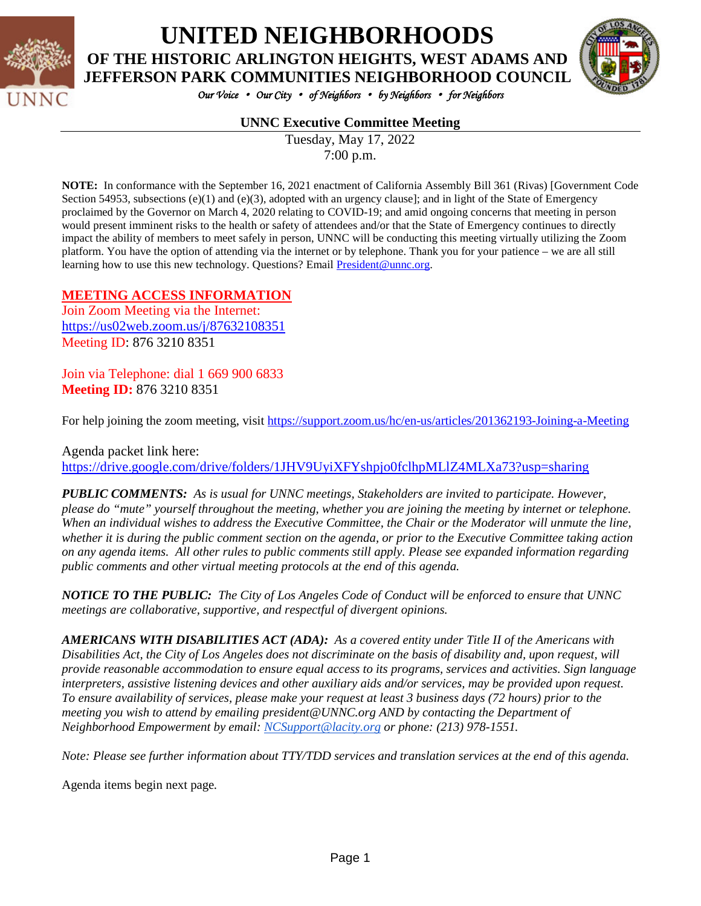

## **UNITED NEIGHBORHOODS OF THE HISTORIC ARLINGTON HEIGHTS, WEST ADAMS AND**



*Our Voice* • *Our City* • *of Neighbors* • *by Neighbors* • *for Neighbors* 

### **UNNC Executive Committee Meeting**

Tuesday, May 17, 2022 7:00 p.m.

**NOTE:** In conformance with the September 16, 2021 enactment of California Assembly Bill 361 (Rivas) [Government Code Section 54953, subsections  $(e)(1)$  and  $(e)(3)$ , adopted with an urgency clause]; and in light of the State of Emergency proclaimed by the Governor on March 4, 2020 relating to COVID-19; and amid ongoing concerns that meeting in person would present imminent risks to the health or safety of attendees and/or that the State of Emergency continues to directly impact the ability of members to meet safely in person, UNNC will be conducting this meeting virtually utilizing the Zoom platform. You have the option of attending via the internet or by telephone. Thank you for your patience – we are all still learning how to use this new technology. Questions? Email [President@unnc.org.](mailto:President@unnc.org)

### **MEETING ACCESS INFORMATION**

Join Zoom Meeting via the Internet: <https://us02web.zoom.us/j/87632108351> Meeting ID: 876 3210 8351

Join via Telephone: dial 1 669 900 6833 **Meeting ID:** 876 3210 8351

For help joining the zoom meeting, visit<https://support.zoom.us/hc/en-us/articles/201362193-Joining-a-Meeting>

Agenda packet link here: <https://drive.google.com/drive/folders/1JHV9UyiXFYshpjo0fclhpMLlZ4MLXa73?usp=sharing>

*PUBLIC COMMENTS: As is usual for UNNC meetings, Stakeholders are invited to participate. However, please do "mute" yourself throughout the meeting, whether you are joining the meeting by internet or telephone. When an individual wishes to address the Executive Committee, the Chair or the Moderator will unmute the line, whether it is during the public comment section on the agenda, or prior to the Executive Committee taking action on any agenda items. All other rules to public comments still apply. Please see expanded information regarding public comments and other virtual meeting protocols at the end of this agenda.*

*NOTICE TO THE PUBLIC: The City of Los Angeles Code of Conduct will be enforced to ensure that UNNC meetings are collaborative, supportive, and respectful of divergent opinions.* 

*AMERICANS WITH DISABILITIES ACT (ADA): As a covered entity under Title II of the Americans with Disabilities Act, the City of Los Angeles does not discriminate on the basis of disability and, upon request, will provide reasonable accommodation to ensure equal access to its programs, services and activities. Sign language interpreters, assistive listening devices and other auxiliary aids and/or services, may be provided upon request. To ensure availability of services, please make your request at least 3 business days (72 hours) prior to the meeting you wish to attend by emailing president@UNNC.org AND by contacting the Department of Neighborhood Empowerment by email: [NCSupport@lacity.org](mailto:NCSupport@lacity.org) or phone: (213) 978-1551.* 

*Note: Please see further information about TTY/TDD services and translation services at the end of this agenda.*

Agenda items begin next page*.*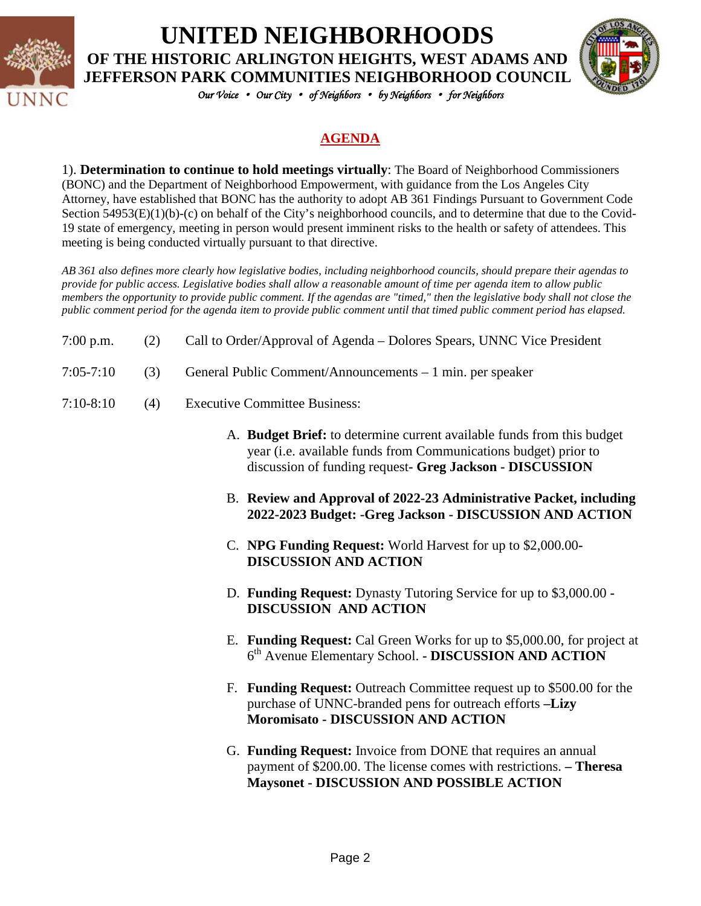

## **UNITED NEIGHBORHOODS OF THE HISTORIC ARLINGTON HEIGHTS, WEST ADAMS AND JEFFERSON PARK COMMUNITIES NEIGHBORHOOD COUNCIL**



*Our Voice* • *Our City* • *of Neighbors* • *by Neighbors* • *for Neighbors* 

### **AGENDA**

1). **Determination to continue to hold meetings virtually**: The Board of Neighborhood Commissioners (BONC) and the Department of Neighborhood Empowerment, with guidance from the Los Angeles City Attorney, have established that BONC has the authority to adopt AB 361 Findings Pursuant to Government Code Section 54953(E)(1)(b)-(c) on behalf of the City's neighborhood councils, and to determine that due to the Covid-19 state of emergency, meeting in person would present imminent risks to the health or safety of attendees. This meeting is being conducted virtually pursuant to that directive.

*AB 361 also defines more clearly how legislative bodies, including neighborhood councils, should prepare their agendas to provide for public access. Legislative bodies shall allow a reasonable amount of time per agenda item to allow public members the opportunity to provide public comment. If the agendas are "timed," then the legislative body shall not close the public comment period for the agenda item to provide public comment until that timed public comment period has elapsed.*

| $7:00$ p.m. | Call to Order/Approval of Agenda – Dolores Spears, UNNC Vice President |
|-------------|------------------------------------------------------------------------|
|             |                                                                        |

- 7:05-7:10 (3) General Public Comment/Announcements 1 min. per speaker
- 7:10-8:10 (4) Executive Committee Business:
	- A. **Budget Brief:** to determine current available funds from this budget year (i.e. available funds from Communications budget) prior to discussion of funding request**- Greg Jackson - DISCUSSION**
	- B. **Review and Approval of 2022-23 Administrative Packet, including 2022-2023 Budget: -Greg Jackson - DISCUSSION AND ACTION**
	- C. **NPG Funding Request:** World Harvest for up to \$2,000.00**- DISCUSSION AND ACTION**
	- D. **Funding Request:** Dynasty Tutoring Service for up to \$3,000.00 **- DISCUSSION AND ACTION**
	- E. **Funding Request:** Cal Green Works for up to \$5,000.00, for project at 6th Avenue Elementary School. **- DISCUSSION AND ACTION**
	- F. **Funding Request:** Outreach Committee request up to \$500.00 for the purchase of UNNC-branded pens for outreach efforts **–Lizy Moromisato - DISCUSSION AND ACTION**
	- G. **Funding Request:** Invoice from DONE that requires an annual payment of \$200.00. The license comes with restrictions. **– Theresa Maysonet - DISCUSSION AND POSSIBLE ACTION**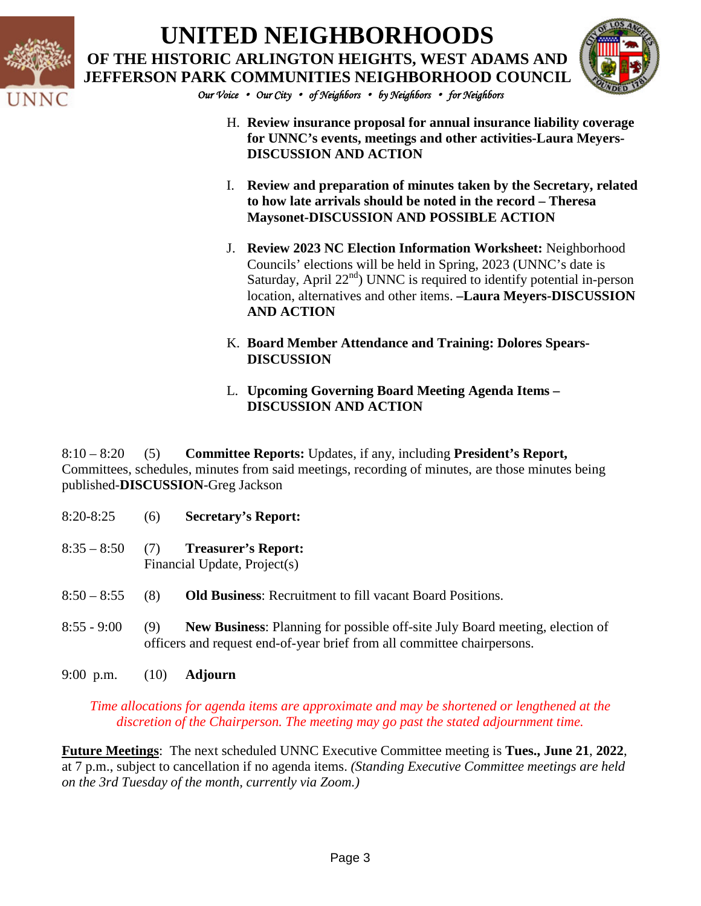

# **UNITED NEIGHBORHOODS OF THE HISTORIC ARLINGTON HEIGHTS, WEST ADAMS AND JEFFERSON PARK COMMUNITIES NEIGHBORHOOD COUNCIL**



*Our Voice* • *Our City* • *of Neighbors* • *by Neighbors* • *for Neighbors* 

- H. **Review insurance proposal for annual insurance liability coverage for UNNC's events, meetings and other activities-Laura Meyers-DISCUSSION AND ACTION**
- I. **Review and preparation of minutes taken by the Secretary, related to how late arrivals should be noted in the record – Theresa Maysonet-DISCUSSION AND POSSIBLE ACTION**
- J. **Review 2023 NC Election Information Worksheet:** Neighborhood Councils' elections will be held in Spring, 2023 (UNNC's date is Saturday, April  $22<sup>nd</sup>$ ) UNNC is required to identify potential in-person location, alternatives and other items. **–Laura Meyers-DISCUSSION AND ACTION**
- K. **Board Member Attendance and Training: Dolores Spears-DISCUSSION**
- L. **Upcoming Governing Board Meeting Agenda Items – DISCUSSION AND ACTION**

8:10 – 8:20 (5) **Committee Reports:** Updates, if any, including **President's Report,**  Committees, schedules, minutes from said meetings, recording of minutes, are those minutes being published-**DISCUSSION**-Greg Jackson

- 8:20-8:25 (6) **Secretary's Report:**
- 8:35 8:50 (7) **Treasurer's Report:** Financial Update, Project(s)
- 8:50 8:55 (8) **Old Business**: Recruitment to fill vacant Board Positions.
- 8:55 9:00 (9) **New Business**: Planning for possible off-site July Board meeting, election of officers and request end-of-year brief from all committee chairpersons.
- 9:00 p.m. (10) **Adjourn**

*Time allocations for agenda items are approximate and may be shortened or lengthened at the discretion of the Chairperson. The meeting may go past the stated adjournment time.*

**Future Meetings**: The next scheduled UNNC Executive Committee meeting is **Tues., June 21**, **2022**, at 7 p.m., subject to cancellation if no agenda items. *(Standing Executive Committee meetings are held on the 3rd Tuesday of the month, currently via Zoom.)*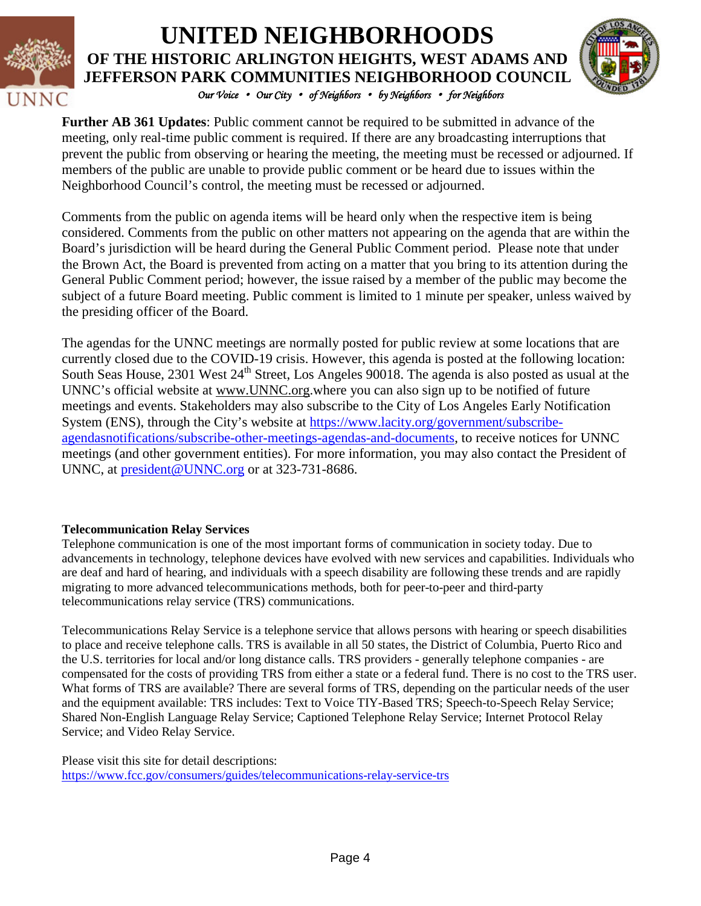

## *Our Voice* • *Our City* • *of Neighbors* • *by Neighbors* • *for Neighbors*  **UNITED NEIGHBORHOODS OF THE HISTORIC ARLINGTON HEIGHTS, WEST ADAMS AND JEFFERSON PARK COMMUNITIES NEIGHBORHOOD COUNCIL**



**Further AB 361 Updates**: Public comment cannot be required to be submitted in advance of the meeting, only real-time public comment is required. If there are any broadcasting interruptions that prevent the public from observing or hearing the meeting, the meeting must be recessed or adjourned. If members of the public are unable to provide public comment or be heard due to issues within the Neighborhood Council's control, the meeting must be recessed or adjourned.

Comments from the public on agenda items will be heard only when the respective item is being considered. Comments from the public on other matters not appearing on the agenda that are within the Board's jurisdiction will be heard during the General Public Comment period. Please note that under the Brown Act, the Board is prevented from acting on a matter that you bring to its attention during the General Public Comment period; however, the issue raised by a member of the public may become the subject of a future Board meeting. Public comment is limited to 1 minute per speaker, unless waived by the presiding officer of the Board.

The agendas for the UNNC meetings are normally posted for public review at some locations that are currently closed due to the COVID-19 crisis. However, this agenda is posted at the following location: South Seas House, 2301 West 24<sup>th</sup> Street, Los Angeles 90018. The agenda is also posted as usual at the UNNC's official website at [www.UNNC.org.](http://www.unnc.org/)where you can also sign up to be notified of future meetings and events. Stakeholders may also subscribe to the City of Los Angeles Early Notification System (ENS), through the City's website at [https://www.lacity.org/government/subscribe](https://www.lacity.org/government/subscribe-agendasnotifications/subscribe-other-meetings-agendas-and-documents)[agendasnotifications/subscribe-other-meetings-agendas-and-documents,](https://www.lacity.org/government/subscribe-agendasnotifications/subscribe-other-meetings-agendas-and-documents) to receive notices for UNNC meetings (and other government entities). For more information, you may also contact the President of UNNC, at [president@UNNC.org](mailto:president@UNNC.org) or at 323-731-8686.

### **Telecommunication Relay Services**

Telephone communication is one of the most important forms of communication in society today. Due to advancements in technology, telephone devices have evolved with new services and capabilities. Individuals who are deaf and hard of hearing, and individuals with a speech disability are following these trends and are rapidly migrating to more advanced telecommunications methods, both for peer-to-peer and third-party telecommunications relay service (TRS) communications.

Telecommunications Relay Service is a telephone service that allows persons with hearing or speech disabilities to place and receive telephone calls. TRS is available in all 50 states, the District of Columbia, Puerto Rico and the U.S. territories for local and/or long distance calls. TRS providers - generally telephone companies - are compensated for the costs of providing TRS from either a state or a federal fund. There is no cost to the TRS user. What forms of TRS are available? There are several forms of TRS, depending on the particular needs of the user and the equipment available: TRS includes: Text to Voice TIY-Based TRS; Speech-to-Speech Relay Service; Shared Non-English Language Relay Service; Captioned Telephone Relay Service; Internet Protocol Relay Service; and Video Relay Service.

Please visit this site for detail descriptions: <https://www.fcc.gov/consumers/guides/telecommunications-relay-service-trs>